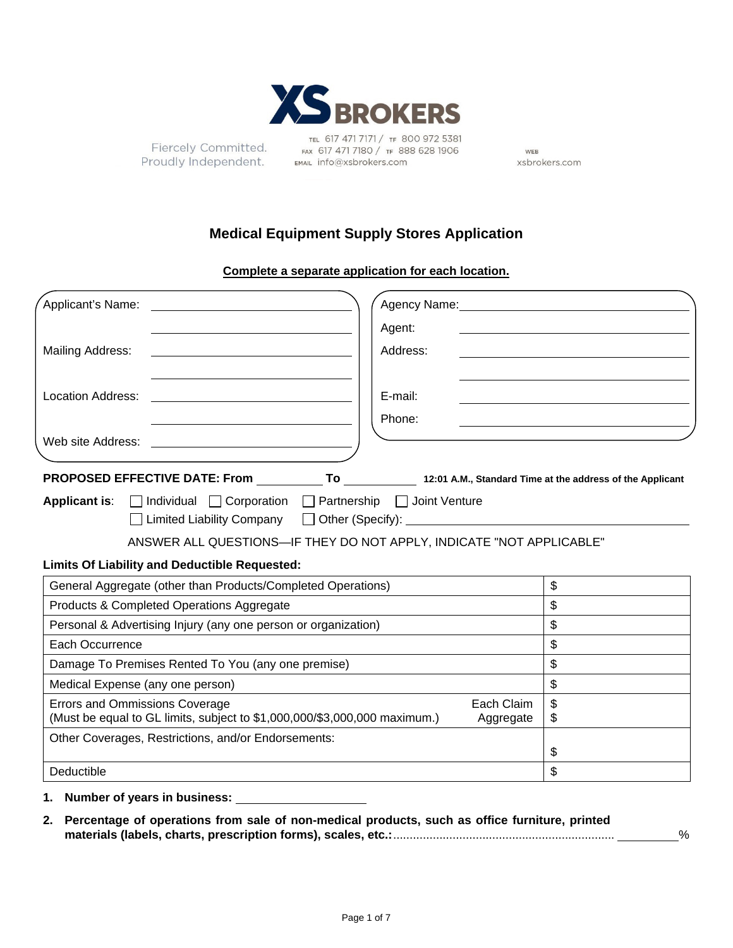

Fiercely Committed. Proudly Independent. EMAIL info@xsbrokers.com

TEL 617 471 7171 / TF 800 972 5381 FAX 617 471 7180 / TF 888 628 1906

WEB xsbrokers.com

# **Medical Equipment Supply Stores Application**

**Complete a separate application for each location.** 

| Applicant's Name:<br><u> 1980 - Jan Stein Stein Stein Stein Stein Stein Stein Stein Stein Stein Stein Stein Stein Stein Stein Stein S</u> |                |
|-------------------------------------------------------------------------------------------------------------------------------------------|----------------|
| Agent:                                                                                                                                    |                |
| Address:<br>Mailing Address:<br><u> 1989 - John Stein, Amerikaansk politiker (</u>                                                        |                |
|                                                                                                                                           |                |
| <b>Location Address:</b><br>E-mail:                                                                                                       |                |
| Phone:                                                                                                                                    |                |
|                                                                                                                                           |                |
| PROPOSED EFFECTIVE DATE: From ____________To ___________________12:01 A.M., Standard Time at the address of the Applicant                 |                |
| <b>Applicant is:</b> $\Box$ Individual $\Box$ Corporation $\Box$ Partnership $\Box$ Joint Venture                                         |                |
| □ Limited Liability Company □ Other (Specify): ________________________________                                                           |                |
| ANSWER ALL QUESTIONS-IF THEY DO NOT APPLY, INDICATE "NOT APPLICABLE"                                                                      |                |
| <b>Limits Of Liability and Deductible Requested:</b>                                                                                      |                |
| General Aggregate (other than Products/Completed Operations)                                                                              | $\mathfrak{S}$ |
| Products & Completed Operations Aggregate                                                                                                 | \$             |
| Personal & Advertising Injury (any one person or organization)                                                                            | \$             |
| Each Occurrence                                                                                                                           | \$             |
| Damage To Premises Rented To You (any one premise)                                                                                        | \$             |
| Medical Expense (any one person)                                                                                                          | \$             |
| <b>Errors and Ommissions Coverage</b><br>Each Claim                                                                                       | \$             |
| (Must be equal to GL limits, subject to \$1,000,000/\$3,000,000 maximum.)<br>Aggregate                                                    | \$             |
| Other Coverages, Restrictions, and/or Endorsements:                                                                                       | \$             |
| Deductible                                                                                                                                | \$             |

**1. Number of years in business:**

**2. Percentage of operations from sale of non-medical products, such as office furniture, printed materials (labels, charts, prescription forms), scales, etc.:** ................................................................... %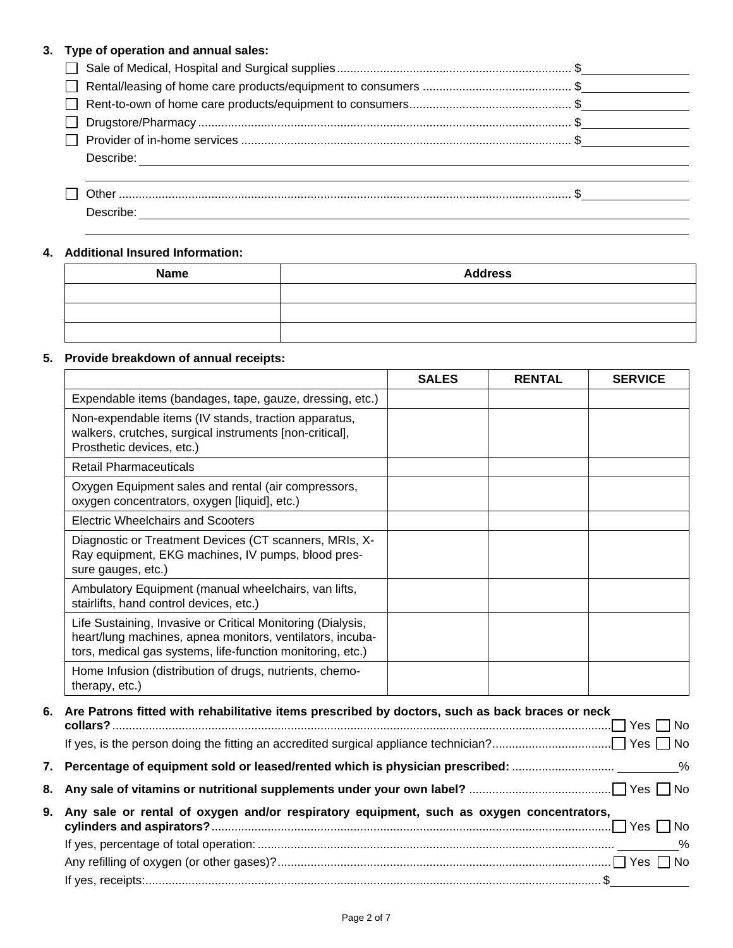## **3. Type of operation and annual sales:**

| Describe:<br><u> 1989 - Johann Stoff, deutscher Stoff, der Stoff, der Stoff, der Stoff, der Stoff, der Stoff, der Stoff, der S</u> |  |
|------------------------------------------------------------------------------------------------------------------------------------|--|
|                                                                                                                                    |  |

## **4. Additional Insured Information:**

| <b>Name</b> | <b>Address</b> |
|-------------|----------------|
|             |                |
|             |                |
|             |                |

## **5. Provide breakdown of annual receipts:**

|                                                                                                                                                                                        | <b>SALES</b> | <b>RENTAL</b> | <b>SERVICE</b> |
|----------------------------------------------------------------------------------------------------------------------------------------------------------------------------------------|--------------|---------------|----------------|
| Expendable items (bandages, tape, gauze, dressing, etc.)                                                                                                                               |              |               |                |
| Non-expendable items (IV stands, traction apparatus,<br>walkers, crutches, surgical instruments [non-critical],<br>Prosthetic devices, etc.)                                           |              |               |                |
| <b>Retail Pharmaceuticals</b>                                                                                                                                                          |              |               |                |
| Oxygen Equipment sales and rental (air compressors,<br>oxygen concentrators, oxygen [liquid], etc.)                                                                                    |              |               |                |
| Electric Wheelchairs and Scooters                                                                                                                                                      |              |               |                |
| Diagnostic or Treatment Devices (CT scanners, MRIs, X-<br>Ray equipment, EKG machines, IV pumps, blood pres-<br>sure gauges, etc.)                                                     |              |               |                |
| Ambulatory Equipment (manual wheelchairs, van lifts,<br>stairlifts, hand control devices, etc.)                                                                                        |              |               |                |
| Life Sustaining, Invasive or Critical Monitoring (Dialysis,<br>heart/lung machines, apnea monitors, ventilators, incuba-<br>tors, medical gas systems, life-function monitoring, etc.) |              |               |                |
| Home Infusion (distribution of drugs, nutrients, chemo-<br>therapy, etc.)                                                                                                              |              |               |                |

| 6. Are Patrons fitted with rehabilitative items prescribed by doctors, such as back braces or neck |
|----------------------------------------------------------------------------------------------------|
|                                                                                                    |
|                                                                                                    |
|                                                                                                    |
|                                                                                                    |
| 9. Any sale or rental of oxygen and/or respiratory equipment, such as oxygen concentrators,        |
|                                                                                                    |
|                                                                                                    |
|                                                                                                    |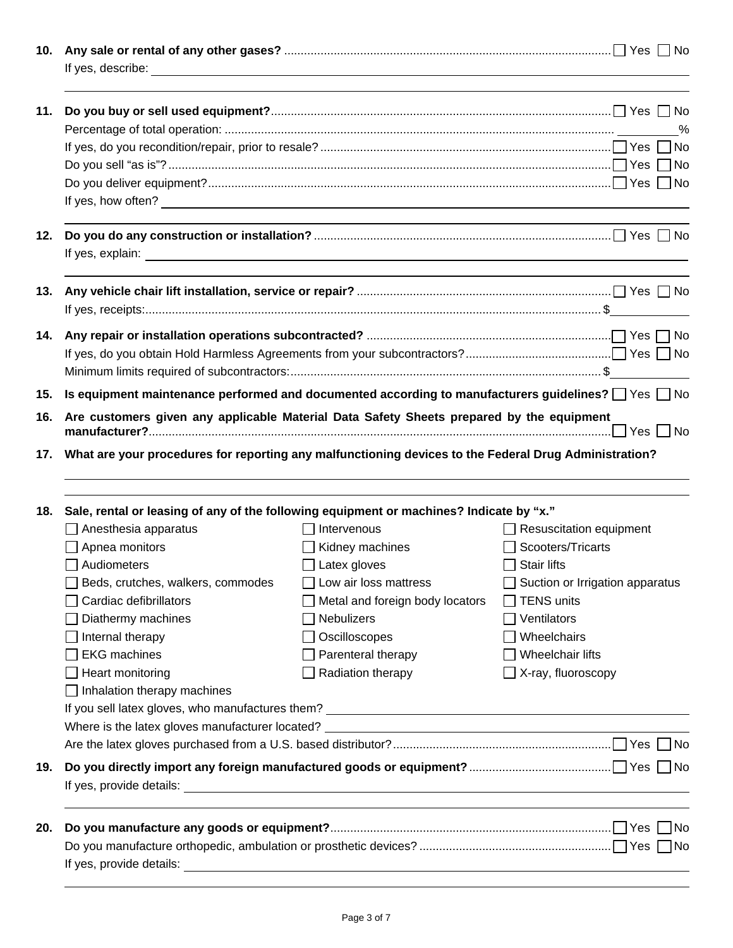| 10. |                                                                                                               |                                 |                                 |
|-----|---------------------------------------------------------------------------------------------------------------|---------------------------------|---------------------------------|
| 11. |                                                                                                               |                                 | %                               |
|     |                                                                                                               |                                 |                                 |
|     |                                                                                                               |                                 |                                 |
|     |                                                                                                               |                                 |                                 |
|     |                                                                                                               |                                 |                                 |
| 12. |                                                                                                               |                                 |                                 |
| 13. |                                                                                                               |                                 |                                 |
|     |                                                                                                               |                                 |                                 |
| 14. |                                                                                                               |                                 |                                 |
| 15. | Is equipment maintenance performed and documented according to manufacturers guidelines? $\Box$ Yes $\Box$ No |                                 |                                 |
| 16. | Are customers given any applicable Material Data Safety Sheets prepared by the equipment                      |                                 |                                 |
|     | 17. What are your procedures for reporting any malfunctioning devices to the Federal Drug Administration?     |                                 |                                 |
|     |                                                                                                               |                                 |                                 |
|     |                                                                                                               |                                 |                                 |
| 18. | Sale, rental or leasing of any of the following equipment or machines? Indicate by "x."                       |                                 |                                 |
|     | $\Box$ Anesthesia apparatus                                                                                   | Intervenous                     | Resuscitation equipment         |
|     | Apnea monitors                                                                                                | Kidney machines                 | Scooters/Tricarts               |
|     | $\Box$ Audiometers                                                                                            | Latex gloves                    | $\Box$ Stair lifts              |
|     | Beds, crutches, walkers, commodes                                                                             | Low air loss mattress           | Suction or Irrigation apparatus |
|     | Cardiac defibrillators                                                                                        | Metal and foreign body locators | <b>TENS units</b>               |
|     | Diathermy machines                                                                                            | <b>Nebulizers</b>               | Ventilators                     |
|     | Internal therapy                                                                                              | Oscilloscopes                   | Wheelchairs                     |
|     | <b>EKG</b> machines                                                                                           | Parenteral therapy              | Wheelchair lifts                |
|     | Heart monitoring                                                                                              | Radiation therapy               | $\exists$ X-ray, fluoroscopy    |
|     | Inhalation therapy machines                                                                                   |                                 |                                 |
|     |                                                                                                               |                                 |                                 |
|     | Where is the latex gloves manufacturer located? _________________________________                             |                                 |                                 |
|     |                                                                                                               |                                 |                                 |
| 19. |                                                                                                               |                                 |                                 |
|     |                                                                                                               |                                 |                                 |
|     |                                                                                                               |                                 |                                 |
| 20. |                                                                                                               |                                 | 1No                             |
|     | If yes, provide details:                                                                                      |                                 |                                 |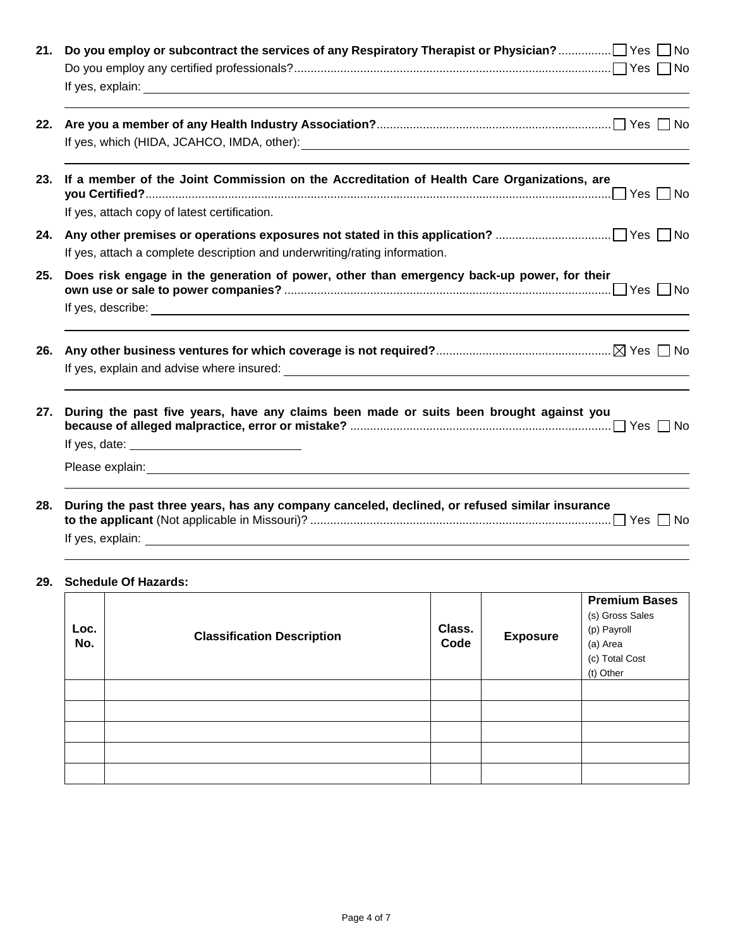| 21. |                                                                                                                                                                                                                                                                                                                                 |
|-----|---------------------------------------------------------------------------------------------------------------------------------------------------------------------------------------------------------------------------------------------------------------------------------------------------------------------------------|
|     |                                                                                                                                                                                                                                                                                                                                 |
| 23. | If a member of the Joint Commission on the Accreditation of Health Care Organizations, are<br>If yes, attach copy of latest certification.                                                                                                                                                                                      |
| 24. | If yes, attach a complete description and underwriting/rating information.                                                                                                                                                                                                                                                      |
| 25. | Does risk engage in the generation of power, other than emergency back-up power, for their                                                                                                                                                                                                                                      |
| 26. |                                                                                                                                                                                                                                                                                                                                 |
| 27. | During the past five years, have any claims been made or suits been brought against you<br>If yes, date: <u>with the same and the same of the same of the same of the same of the same of the same of the same of the same of the same of the same of the same of the same of the same of the same of the same of the same </u> |
| 28. | During the past three years, has any company canceled, declined, or refused similar insurance                                                                                                                                                                                                                                   |
|     | 29. Schedule Of Hazards:                                                                                                                                                                                                                                                                                                        |

| Loc.<br>No. | <b>Classification Description</b> | Class.<br>Code | <b>Exposure</b> | <b>Premium Bases</b><br>(s) Gross Sales<br>(p) Payroll<br>(a) Area<br>(c) Total Cost<br>(t) Other |
|-------------|-----------------------------------|----------------|-----------------|---------------------------------------------------------------------------------------------------|
|             |                                   |                |                 |                                                                                                   |
|             |                                   |                |                 |                                                                                                   |
|             |                                   |                |                 |                                                                                                   |
|             |                                   |                |                 |                                                                                                   |
|             |                                   |                |                 |                                                                                                   |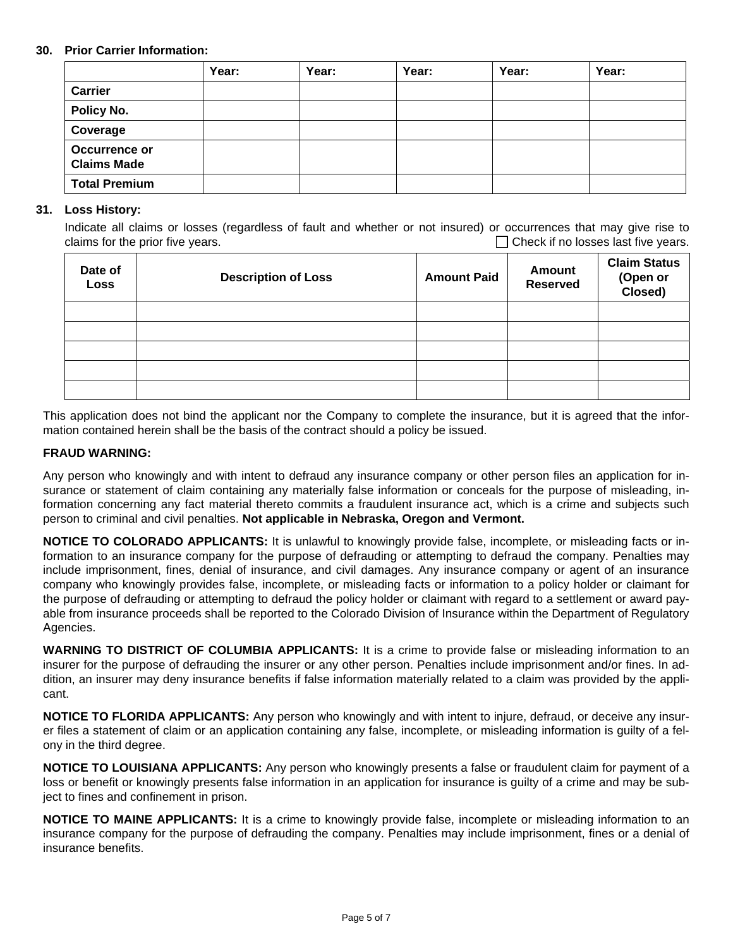#### **30. Prior Carrier Information:**

|                                     | Year: | Year: | Year: | Year: | Year: |
|-------------------------------------|-------|-------|-------|-------|-------|
| <b>Carrier</b>                      |       |       |       |       |       |
| Policy No.                          |       |       |       |       |       |
| Coverage                            |       |       |       |       |       |
| Occurrence or<br><b>Claims Made</b> |       |       |       |       |       |
| <b>Total Premium</b>                |       |       |       |       |       |

#### **31. Loss History:**

Indicate all claims or losses (regardless of fault and whether or not insured) or occurrences that may give rise to claims for the prior five years.  $\Box$  check if no losses last five years.

| Date of<br><b>Loss</b> | <b>Description of Loss</b> | <b>Amount Paid</b> | <b>Amount</b><br><b>Reserved</b> | <b>Claim Status</b><br>(Open or<br>Closed) |
|------------------------|----------------------------|--------------------|----------------------------------|--------------------------------------------|
|                        |                            |                    |                                  |                                            |
|                        |                            |                    |                                  |                                            |
|                        |                            |                    |                                  |                                            |
|                        |                            |                    |                                  |                                            |
|                        |                            |                    |                                  |                                            |

This application does not bind the applicant nor the Company to complete the insurance, but it is agreed that the information contained herein shall be the basis of the contract should a policy be issued.

#### **FRAUD WARNING:**

Any person who knowingly and with intent to defraud any insurance company or other person files an application for insurance or statement of claim containing any materially false information or conceals for the purpose of misleading, information concerning any fact material thereto commits a fraudulent insurance act, which is a crime and subjects such person to criminal and civil penalties. **Not applicable in Nebraska, Oregon and Vermont.** 

**NOTICE TO COLORADO APPLICANTS:** It is unlawful to knowingly provide false, incomplete, or misleading facts or information to an insurance company for the purpose of defrauding or attempting to defraud the company. Penalties may include imprisonment, fines, denial of insurance, and civil damages. Any insurance company or agent of an insurance company who knowingly provides false, incomplete, or misleading facts or information to a policy holder or claimant for the purpose of defrauding or attempting to defraud the policy holder or claimant with regard to a settlement or award payable from insurance proceeds shall be reported to the Colorado Division of Insurance within the Department of Regulatory Agencies.

**WARNING TO DISTRICT OF COLUMBIA APPLICANTS:** It is a crime to provide false or misleading information to an insurer for the purpose of defrauding the insurer or any other person. Penalties include imprisonment and/or fines. In addition, an insurer may deny insurance benefits if false information materially related to a claim was provided by the applicant.

**NOTICE TO FLORIDA APPLICANTS:** Any person who knowingly and with intent to injure, defraud, or deceive any insurer files a statement of claim or an application containing any false, incomplete, or misleading information is guilty of a felony in the third degree.

**NOTICE TO LOUISIANA APPLICANTS:** Any person who knowingly presents a false or fraudulent claim for payment of a loss or benefit or knowingly presents false information in an application for insurance is guilty of a crime and may be subject to fines and confinement in prison.

**NOTICE TO MAINE APPLICANTS:** It is a crime to knowingly provide false, incomplete or misleading information to an insurance company for the purpose of defrauding the company. Penalties may include imprisonment, fines or a denial of insurance benefits.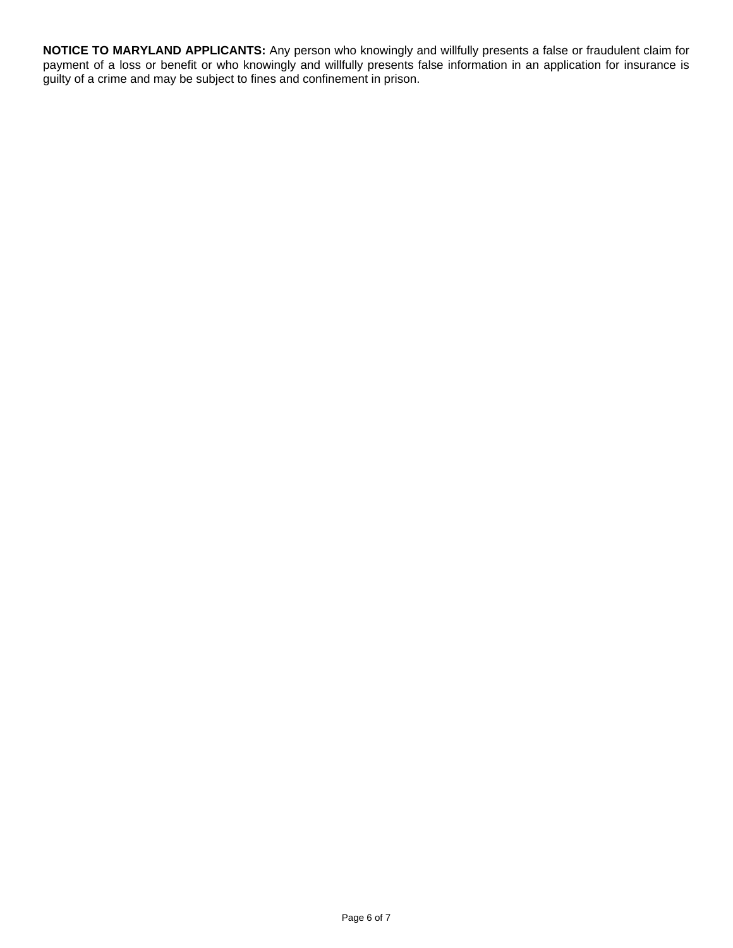**NOTICE TO MARYLAND APPLICANTS:** Any person who knowingly and willfully presents a false or fraudulent claim for payment of a loss or benefit or who knowingly and willfully presents false information in an application for insurance is guilty of a crime and may be subject to fines and confinement in prison.